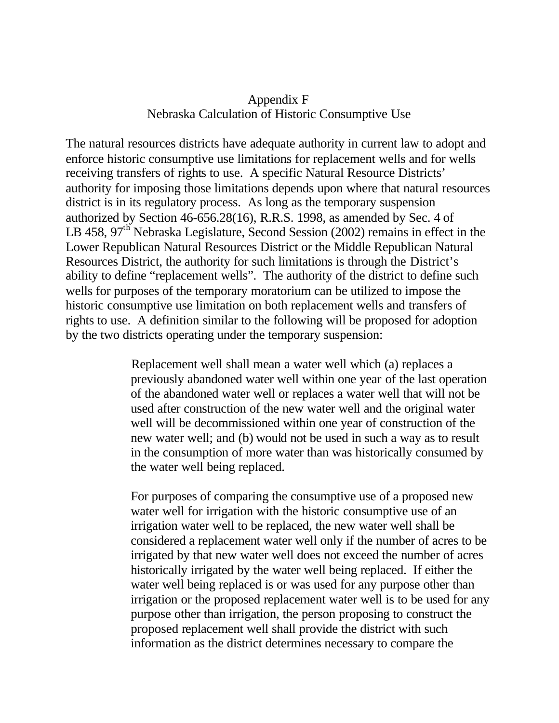## Appendix F Nebraska Calculation of Historic Consumptive Use

The natural resources districts have adequate authority in current law to adopt and enforce historic consumptive use limitations for replacement wells and for wells receiving transfers of rights to use. A specific Natural Resource Districts' authority for imposing those limitations depends upon where that natural resources district is in its regulatory process. As long as the temporary suspension authorized by Section 46-656.28(16), R.R.S. 1998, as amended by Sec. 4 of LB 458,  $97<sup>th</sup>$  Nebraska Legislature, Second Session (2002) remains in effect in the Lower Republican Natural Resources District or the Middle Republican Natural Resources District, the authority for such limitations is through the District's ability to define "replacement wells". The authority of the district to define such wells for purposes of the temporary moratorium can be utilized to impose the historic consumptive use limitation on both replacement wells and transfers of rights to use. A definition similar to the following will be proposed for adoption by the two districts operating under the temporary suspension:

> Replacement well shall mean a water well which (a) replaces a previously abandoned water well within one year of the last operation of the abandoned water well or replaces a water well that will not be used after construction of the new water well and the original water well will be decommissioned within one year of construction of the new water well; and (b) would not be used in such a way as to result in the consumption of more water than was historically consumed by the water well being replaced.

> For purposes of comparing the consumptive use of a proposed new water well for irrigation with the historic consumptive use of an irrigation water well to be replaced, the new water well shall be considered a replacement water well only if the number of acres to be irrigated by that new water well does not exceed the number of acres historically irrigated by the water well being replaced. If either the water well being replaced is or was used for any purpose other than irrigation or the proposed replacement water well is to be used for any purpose other than irrigation, the person proposing to construct the proposed replacement well shall provide the district with such information as the district determines necessary to compare the